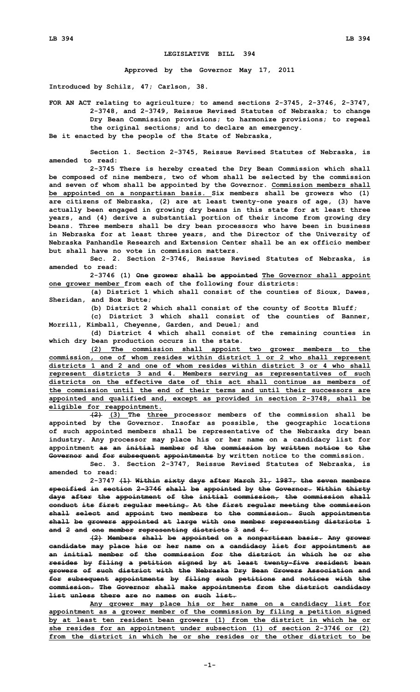## **LEGISLATIVE BILL 394**

**Approved by the Governor May 17, 2011**

**Introduced by Schilz, 47; Carlson, 38.**

**FOR AN ACT relating to agriculture; to amend sections 2-3745, 2-3746, 2-3747, 2-3748, and 2-3749, Reissue Revised Statutes of Nebraska; to change Dry Bean Commission provisions; to harmonize provisions; to repeal the original sections; and to declare an emergency.**

**Be it enacted by the people of the State of Nebraska,**

**Section 1. Section 2-3745, Reissue Revised Statutes of Nebraska, is amended to read:**

**2-3745 There is hereby created the Dry Bean Commission which shall be composed of nine members, two of whom shall be selected by the commission and seven of whom shall be appointed by the Governor. Commission members shall be appointed on <sup>a</sup> nonpartisan basis. Six members shall be growers who (1) are citizens of Nebraska, (2) are at least twenty-one years of age, (3) have actually been engaged in growing dry beans in this state for at least three years, and (4) derive <sup>a</sup> substantial portion of their income from growing dry beans. Three members shall be dry bean processors who have been in business in Nebraska for at least three years, and the Director of the University of Nebraska Panhandle Research and Extension Center shall be an ex officio member but shall have no vote in commission matters.**

**Sec. 2. Section 2-3746, Reissue Revised Statutes of Nebraska, is amended to read:**

**2-3746 (1) One grower shall be appointed The Governor shall appoint one grower member from each of the following four districts:**

**(a) District 1 which shall consist of the counties of Sioux, Dawes, Sheridan, and Box Butte;**

**(b) District 2 which shall consist of the county of Scotts Bluff;**

**(c) District 3 which shall consist of the counties of Banner, Morrill, Kimball, Cheyenne, Garden, and Deuel; and**

**(d) District 4 which shall consist of the remaining counties in which dry bean production occurs in the state.**

**(2) The commission shall appoint two grower members to the commission, one of whom resides within district 1 or 2 who shall represent districts 1 and 2 and one of whom resides within district 3 or 4 who shall represent districts 3 and 4. Members serving as representatives of such districts on the effective date of this act shall continue as members of the commission until the end of their terms and until their successors are appointed and qualified and, except as provided in section 2-3748, shall be eligible for reappointment.**

**(2) (3) The three processor members of the commission shall be appointed by the Governor. Insofar as possible, the geographic locations of such appointed members shall be representative of the Nebraska dry bean industry. Any processor may place his or her name on <sup>a</sup> candidacy list for appointment as an initial member of the commission by written notice to the Governor and for subsequent appointments by written notice to the commission.**

**Sec. 3. Section 2-3747, Reissue Revised Statutes of Nebraska, is amended to read:**

**2-3747 (1) Within sixty days after March 31, 1987, the seven members specified in section 2-3746 shall be appointed by the Governor. Within thirty days after the appointment of the initial commission, the commission shall conduct its first regular meeting. At the first regular meeting the commission shall select and appoint two members to the commission. Such appointments shall be growers appointed at large with one member representing districts 1 and 2 and one member representing districts 3 and 4.**

**(2) Members shall be appointed on <sup>a</sup> nonpartisan basis. Any grower candidate may place his or her name on <sup>a</sup> candidacy list for appointment as an initial member of the commission for the district in which he or she resides by filing <sup>a</sup> petition signed by at least twenty-five resident bean growers of such district with the Nebraska Dry Bean Growers Association and for subsequent appointments by filing such petitions and notices with the commission. The Governor shall make appointments from the district candidacy list unless there are no names on such list.**

**Any grower may place his or her name on <sup>a</sup> candidacy list for appointment as <sup>a</sup> grower member of the commission by filing <sup>a</sup> petition signed by at least ten resident bean growers (1) from the district in which he or she resides for an appointment under subsection (1) of section 2-3746 or (2) from the district in which he or she resides or the other district to be**